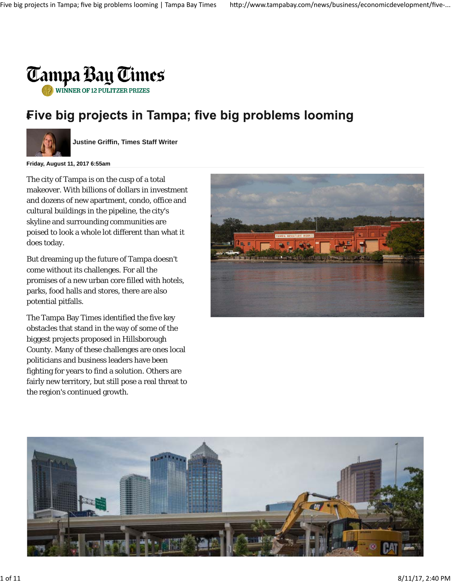

# Five big projects in Tampa; five big problems looming



**Justine Griffin, Times Staff Writer**

**Friday, August 11, 2017 6:55am**

The city of Tampa is on the cusp of a total makeover. With billions of dollars in investment and dozens of new apartment, condo, office and cultural buildings in the pipeline, the city's skyline and surrounding communities are poised to look a whole lot different than what it does today.

But dreaming up the future of Tampa doesn't come without its challenges. For all the promises of a new urban core filled with hotels, parks, food halls and stores, there are also potential pitfalls.

The Tampa Bay Times identified the five key obstacles that stand in the way of some of the biggest projects proposed in Hillsborough County. Many of these challenges are ones local politicians and business leaders have been fighting for years to find a solution. Others are fairly new territory, but still pose a real threat to the region's continued growth.



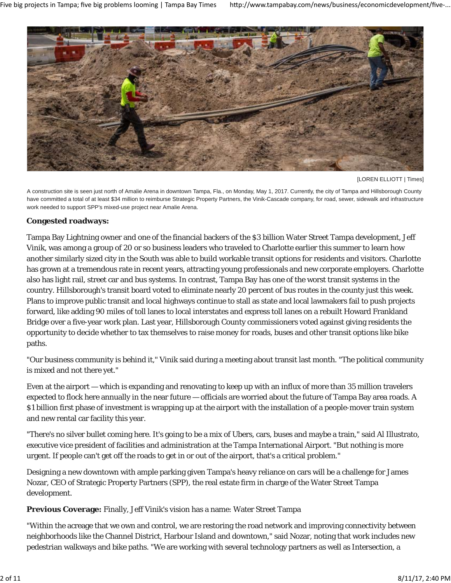

[LOREN ELLIOTT | Times]

A construction site is seen just north of Amalie Arena in downtown Tampa, Fla., on Monday, May 1, 2017. Currently, the city of Tampa and Hillsborough County have committed a total of at least \$34 million to reimburse Strategic Property Partners, the Vinik-Cascade company, for road, sewer, sidewalk and infrastructure work needed to support SPP's mixed-use project near Amalie Arena.

# **Congested roadways:**

Tampa Bay Lightning owner and one of the financial backers of the \$3 billion Water Street Tampa development, Jeff Vinik, was among a group of 20 or so business leaders who traveled to Charlotte earlier this summer to learn how another similarly sized city in the South was able to build workable transit options for residents and visitors. Charlotte has grown at a tremendous rate in recent years, attracting young professionals and new corporate employers. Charlotte also has light rail, street car and bus systems. In contrast, Tampa Bay has one of the worst transit systems in the country. Hillsborough's transit board voted to eliminate nearly 20 percent of bus routes in the county just this week. Plans to improve public transit and local highways continue to stall as state and local lawmakers fail to push projects forward, like adding 90 miles of toll lanes to local interstates and express toll lanes on a rebuilt Howard Frankland Bridge over a five-year work plan. Last year, Hillsborough County commissioners voted against giving residents the opportunity to decide whether to tax themselves to raise money for roads, buses and other transit options like bike paths.

"Our business community is behind it," Vinik said during a meeting about transit last month. "The political community is mixed and not there yet."

Even at the airport — which is expanding and renovating to keep up with an influx of more than 35 million travelers expected to flock here annually in the near future — officials are worried about the future of Tampa Bay area roads. A \$1 billion first phase of investment is wrapping up at the airport with the installation of a people-mover train system and new rental car facility this year.

"There's no silver bullet coming here. It's going to be a mix of Ubers, cars, buses and maybe a train," said Al Illustrato, executive vice president of facilities and administration at the Tampa International Airport. "But nothing is more urgent. If people can't get off the roads to get in or out of the airport, that's a critical problem."

Designing a new downtown with ample parking given Tampa's heavy reliance on cars will be a challenge for James Nozar, CEO of Strategic Property Partners (SPP), the real estate firm in charge of the Water Street Tampa development.

**Previous Coverage:** Finally, Jeff Vinik's vision has a name: Water Street Tampa

"Within the acreage that we own and control, we are restoring the road network and improving connectivity between neighborhoods like the Channel District, Harbour Island and downtown," said Nozar, noting that work includes new pedestrian walkways and bike paths. "We are working with several technology partners as well as Intersection, a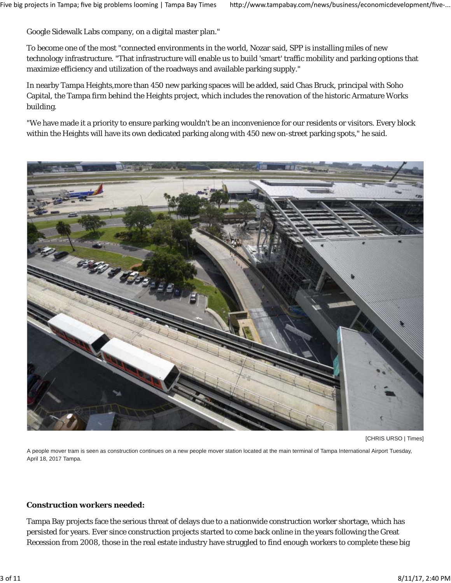Google Sidewalk Labs company, on a digital master plan."

To become one of the most "connected environments in the world, Nozar said, SPP is installing miles of new technology infrastructure. "That infrastructure will enable us to build 'smart' traffic mobility and parking options that maximize efficiency and utilization of the roadways and available parking supply."

In nearby Tampa Heights,more than 450 new parking spaces will be added, said Chas Bruck, principal with Soho Capital, the Tampa firm behind the Heights project, which includes the renovation of the historic Armature Works building.

"We have made it a priority to ensure parking wouldn't be an inconvenience for our residents or visitors. Every block within the Heights will have its own dedicated parking along with 450 new on-street parking spots," he said.



[CHRIS URSO | Times]

A people mover tram is seen as construction continues on a new people mover station located at the main terminal of Tampa International Airport Tuesday, April 18, 2017 Tampa.

#### **Construction workers needed:**

Tampa Bay projects face the serious threat of delays due to a nationwide construction worker shortage, which has persisted for years. Ever since construction projects started to come back online in the years following the Great Recession from 2008, those in the real estate industry have struggled to find enough workers to complete these big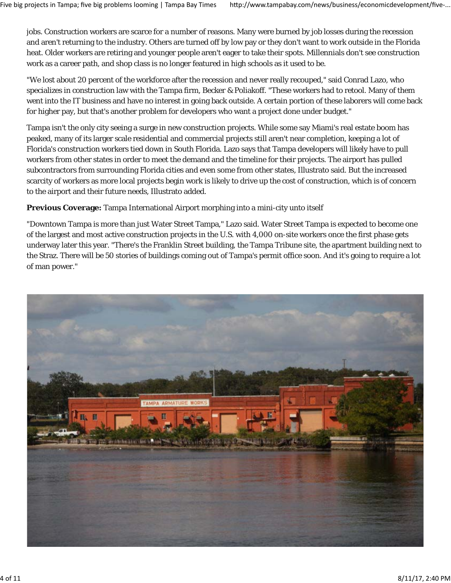jobs. Construction workers are scarce for a number of reasons. Many were burned by job losses during the recession and aren't returning to the industry. Others are turned off by low pay or they don't want to work outside in the Florida heat. Older workers are retiring and younger people aren't eager to take their spots. Millennials don't see construction work as a career path, and shop class is no longer featured in high schools as it used to be.

"We lost about 20 percent of the workforce after the recession and never really recouped," said Conrad Lazo, who specializes in construction law with the Tampa firm, Becker & Poliakoff. "These workers had to retool. Many of them went into the IT business and have no interest in going back outside. A certain portion of these laborers will come back for higher pay, but that's another problem for developers who want a project done under budget."

Tampa isn't the only city seeing a surge in new construction projects. While some say Miami's real estate boom has peaked, many of its larger scale residential and commercial projects still aren't near completion, keeping a lot of Florida's construction workers tied down in South Florida. Lazo says that Tampa developers will likely have to pull workers from other states in order to meet the demand and the timeline for their projects. The airport has pulled subcontractors from surrounding Florida cities and even some from other states, Illustrato said. But the increased scarcity of workers as more local projects begin work is likely to drive up the cost of construction, which is of concern to the airport and their future needs, Illustrato added.

**Previous Coverage:** Tampa International Airport morphing into a mini-city unto itself

"Downtown Tampa is more than just Water Street Tampa," Lazo said. Water Street Tampa is expected to become one of the largest and most active construction projects in the U.S. with 4,000 on-site workers once the first phase gets underway later this year. "There's the Franklin Street building, the Tampa Tribune site, the apartment building next to the Straz. There will be 50 stories of buildings coming out of Tampa's permit office soon. And it's going to require a lot of man power."

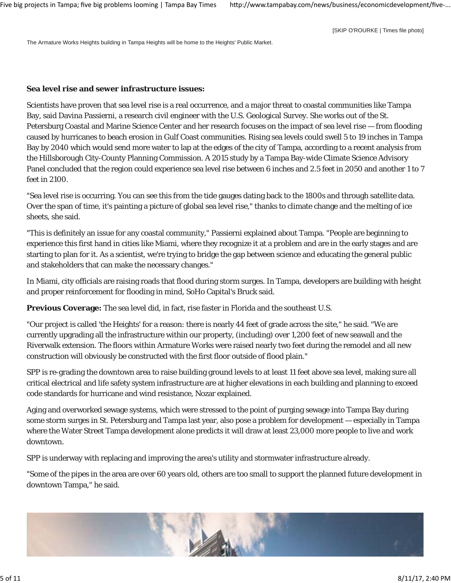[SKIP O'ROURKE | Times file photo]

The Armature Works Heights building in Tampa Heights will be home to the Heights' Public Market.

#### **Sea level rise and sewer infrastructure issues:**

Scientists have proven that sea level rise is a real occurrence, and a major threat to coastal communities like Tampa Bay, said Davina Passierni, a research civil engineer with the U.S. Geological Survey. She works out of the St. Petersburg Coastal and Marine Science Center and her research focuses on the impact of sea level rise — from flooding caused by hurricanes to beach erosion in Gulf Coast communities. Rising sea levels could swell 5 to 19 inches in Tampa Bay by 2040 which would send more water to lap at the edges of the city of Tampa, according to a recent analysis from the Hillsborough City-County Planning Commission. A 2015 study by a Tampa Bay-wide Climate Science Advisory Panel concluded that the region could experience sea level rise between 6 inches and 2.5 feet in 2050 and another 1 to 7 feet in 2100.

"Sea level rise is occurring. You can see this from the tide gauges dating back to the 1800s and through satellite data. Over the span of time, it's painting a picture of global sea level rise," thanks to climate change and the melting of ice sheets, she said.

"This is definitely an issue for any coastal community," Passierni explained about Tampa. "People are beginning to experience this first hand in cities like Miami, where they recognize it at a problem and are in the early stages and are starting to plan for it. As a scientist, we're trying to bridge the gap between science and educating the general public and stakeholders that can make the necessary changes."

In Miami, city officials are raising roads that flood during storm surges. In Tampa, developers are building with height and proper reinforcement for flooding in mind, SoHo Capital's Bruck said.

**Previous Coverage:** The sea level did, in fact, rise faster in Florida and the southeast U.S.

"Our project is called 'the Heights' for a reason: there is nearly 44 feet of grade across the site," he said. "We are currently upgrading all the infrastructure within our property, (including) over 1,200 feet of new seawall and the Riverwalk extension. The floors within Armature Works were raised nearly two feet during the remodel and all new construction will obviously be constructed with the first floor outside of flood plain."

SPP is re-grading the downtown area to raise building ground levels to at least 11 feet above sea level, making sure all critical electrical and life safety system infrastructure are at higher elevations in each building and planning to exceed code standards for hurricane and wind resistance, Nozar explained.

Aging and overworked sewage systems, which were stressed to the point of purging sewage into Tampa Bay during some storm surges in St. Petersburg and Tampa last year, also pose a problem for development — especially in Tampa where the Water Street Tampa development alone predicts it will draw at least 23,000 more people to live and work downtown.

SPP is underway with replacing and improving the area's utility and stormwater infrastructure already.

"Some of the pipes in the area are over 60 years old, others are too small to support the planned future development in downtown Tampa," he said.

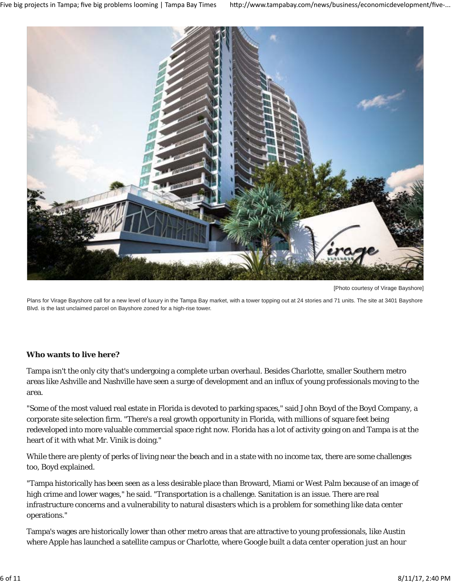

[Photo courtesy of Virage Bayshore]

Plans for Virage Bayshore call for a new level of luxury in the Tampa Bay market, with a tower topping out at 24 stories and 71 units. The site at 3401 Bayshore Blvd. is the last unclaimed parcel on Bayshore zoned for a high-rise tower.

#### **Who wants to live here?**

Tampa isn't the only city that's undergoing a complete urban overhaul. Besides Charlotte, smaller Southern metro areas like Ashville and Nashville have seen a surge of development and an influx of young professionals moving to the area.

"Some of the most valued real estate in Florida is devoted to parking spaces," said John Boyd of the Boyd Company, a corporate site selection firm. "There's a real growth opportunity in Florida, with millions of square feet being redeveloped into more valuable commercial space right now. Florida has a lot of activity going on and Tampa is at the heart of it with what Mr. Vinik is doing."

While there are plenty of perks of living near the beach and in a state with no income tax, there are some challenges too, Boyd explained.

"Tampa historically has been seen as a less desirable place than Broward, Miami or West Palm because of an image of high crime and lower wages," he said. "Transportation is a challenge. Sanitation is an issue. There are real infrastructure concerns and a vulnerability to natural disasters which is a problem for something like data center operations."

Tampa's wages are historically lower than other metro areas that are attractive to young professionals, like Austin where Apple has launched a satellite campus or Charlotte, where Google built a data center operation just an hour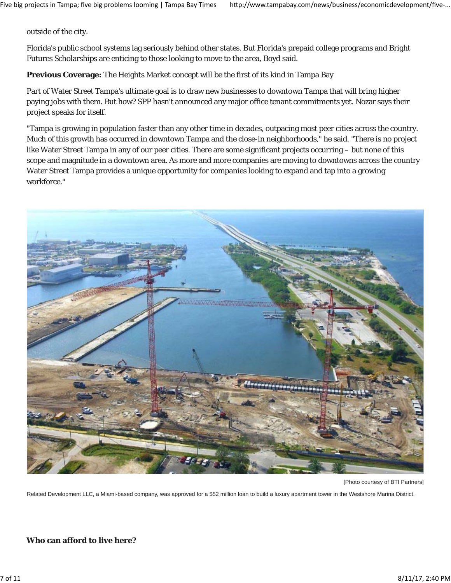outside of the city.

Florida's public school systems lag seriously behind other states. But Florida's prepaid college programs and Bright Futures Scholarships are enticing to those looking to move to the area, Boyd said.

**Previous Coverage:** The Heights Market concept will be the first of its kind in Tampa Bay

Part of Water Street Tampa's ultimate goal is to draw new businesses to downtown Tampa that will bring higher paying jobs with them. But how? SPP hasn't announced any major office tenant commitments yet. Nozar says their project speaks for itself.

"Tampa is growing in population faster than any other time in decades, outpacing most peer cities across the country. Much of this growth has occurred in downtown Tampa and the close-in neighborhoods," he said. "There is no project like Water Street Tampa in any of our peer cities. There are some significant projects occurring – but none of this scope and magnitude in a downtown area. As more and more companies are moving to downtowns across the country Water Street Tampa provides a unique opportunity for companies looking to expand and tap into a growing workforce."



[Photo courtesy of BTI Partners]

Related Development LLC, a Miami-based company, was approved for a \$52 million loan to build a luxury apartment tower in the Westshore Marina District.

# **Who can afford to live here?**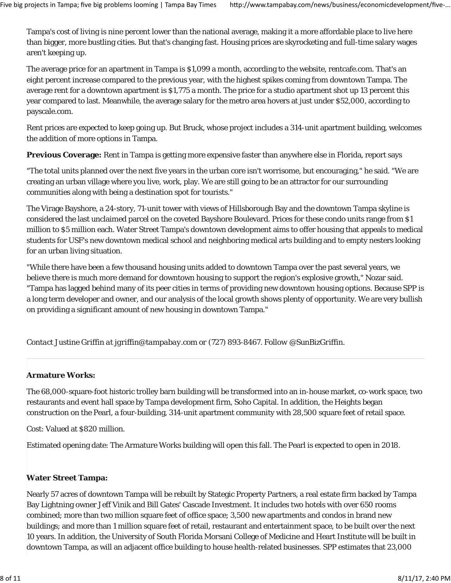Tampa's cost of living is nine percent lower than the national average, making it a more affordable place to live here than bigger, more bustling cities. But that's changing fast. Housing prices are skyrocketing and full-time salary wages aren't keeping up.

The average price for an apartment in Tampa is \$1,099 a month, according to the website, rentcafe.com. That's an eight percent increase compared to the previous year, with the highest spikes coming from downtown Tampa. The average rent for a downtown apartment is \$1,775 a month. The price for a studio apartment shot up 13 percent this year compared to last. Meanwhile, the average salary for the metro area hovers at just under \$52,000, according to payscale.com.

Rent prices are expected to keep going up. But Bruck, whose project includes a 314-unit apartment building, welcomes the addition of more options in Tampa.

**Previous Coverage:** Rent in Tampa is getting more expensive faster than anywhere else in Florida, report says

"The total units planned over the next five years in the urban core isn't worrisome, but encouraging," he said. "We are creating an urban village where you live, work, play. We are still going to be an attractor for our surrounding communities along with being a destination spot for tourists."

The Virage Bayshore, a 24-story, 71-unit tower with views of Hillsborough Bay and the downtown Tampa skyline is considered the last unclaimed parcel on the coveted Bayshore Boulevard. Prices for these condo units range from \$1 million to \$5 million each. Water Street Tampa's downtown development aims to offer housing that appeals to medical students for USF's new downtown medical school and neighboring medical arts building and to empty nesters looking for an urban living situation.

"While there have been a few thousand housing units added to downtown Tampa over the past several years, we believe there is much more demand for downtown housing to support the region's explosive growth," Nozar said. "Tampa has lagged behind many of its peer cities in terms of providing new downtown housing options. Because SPP is a long term developer and owner, and our analysis of the local growth shows plenty of opportunity. We are very bullish on providing a significant amount of new housing in downtown Tampa."

*Contact Justine Griffin at jgriffin@tampabay.com or (727) 893-8467. Follow @SunBizGriffin.*

# **Armature Works:**

The 68,000-square-foot historic trolley barn building will be transformed into an in-house market, co-work space, two restaurants and event hall space by Tampa development firm, Soho Capital. In addition, the Heights began construction on the Pearl, a four-building, 314-unit apartment community with 28,500 square feet of retail space.

Cost: Valued at \$820 million.

Estimated opening date: The Armature Works building will open this fall. The Pearl is expected to open in 2018.

# **Water Street Tampa:**

Nearly 57 acres of downtown Tampa will be rebuilt by Stategic Property Partners, a real estate firm backed by Tampa Bay Lightning owner Jeff Vinik and Bill Gates' Cascade Investment. It includes two hotels with over 650 rooms combined; more than two million square feet of office space; 3,500 new apartments and condos in brand new buildings; and more than 1 million square feet of retail, restaurant and entertainment space, to be built over the next 10 years. In addition, the University of South Florida Morsani College of Medicine and Heart Institute will be built in downtown Tampa, as will an adjacent office building to house health-related businesses. SPP estimates that 23,000